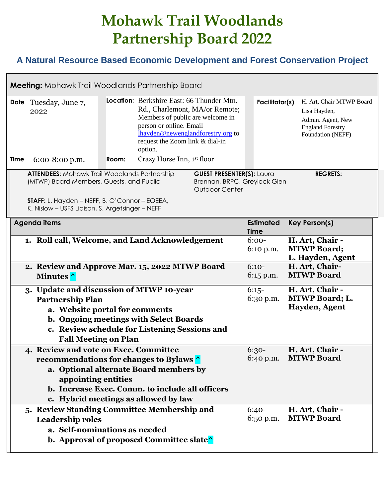## **Mohawk Trail Woodlands Partnership Board 2022**

## **A Natural Resource Based Economic Development and Forest Conservation Project**

## **Meeting:** Mohawk Trail Woodlands Partnership Board

|      | Date Tuesday, June 7,<br>2022                        |       | <b>Location:</b> Berkshire East: 66 Thunder Mtn.<br>Rd., Charlemont, MA/or Remote;<br>Members of public are welcome in<br>person or online. Email<br>lhayden@newenglandforestry.org to<br>request the Zoom link & dial-in<br>option. | Facilitator(s) | H. Art, Chair MTWP Board<br>Lisa Hayden,<br>Admin. Agent, New<br><b>England Forestry</b><br>Foundation (NEFF) |
|------|------------------------------------------------------|-------|--------------------------------------------------------------------------------------------------------------------------------------------------------------------------------------------------------------------------------------|----------------|---------------------------------------------------------------------------------------------------------------|
| Time | $6:00-8:00$ p.m.                                     | Room: | Crazy Horse Inn, 1 <sup>st</sup> floor                                                                                                                                                                                               |                |                                                                                                               |
|      | <b>ATTENDEES:</b> Mohawk Trail Woodlands Partnership |       | <b>GUEST PRESENTER(S): Laural</b>                                                                                                                                                                                                    |                | <b>REGRETS:</b>                                                                                               |

**ATTENDEES:** Mohawk Irail Woodlands Partnership (MTWP) Board Members, Guests, and Public

**GUEST PRESENTER(S):** Laura Brennan, BRPC, Greylock Glen Outdoor Center

**STAFF:** L. Hayden – NEFF, B. O'Connor – EOEEA, K. Nislow – USFS Liaison, S. Argetsinger – NEFF

| <b>Agenda items</b>                                                                                                                                                                                                                                 | <b>Estimated</b><br><b>Time</b> | <b>Key Person(s)</b>                                      |
|-----------------------------------------------------------------------------------------------------------------------------------------------------------------------------------------------------------------------------------------------------|---------------------------------|-----------------------------------------------------------|
| 1. Roll call, Welcome, and Land Acknowledgement                                                                                                                                                                                                     | $6:00-$<br>6:10 p.m.            | H. Art, Chair -<br><b>MTWP Board;</b><br>L. Hayden, Agent |
| 2. Review and Approve Mar. 15, 2022 MTWP Board<br>Minutes <sup>1</sup>                                                                                                                                                                              | $6:10-$<br>6:15 p.m.            | H. Art, Chair-<br><b>MTWP Board</b>                       |
| 3. Update and discussion of MTWP 10-year<br><b>Partnership Plan</b><br>a. Website portal for comments<br>b. Ongoing meetings with Select Boards<br>c. Review schedule for Listening Sessions and<br><b>Fall Meeting on Plan</b>                     | $6:15-$<br>6:30 p.m.            | H. Art, Chair -<br><b>MTWP Board; L.</b><br>Hayden, Agent |
| 4. Review and vote on Exec. Committee<br>recommendations for changes to Bylaws $\wedge$<br>a. Optional alternate Board members by<br>appointing entities<br>b. Increase Exec. Comm. to include all officers<br>c. Hybrid meetings as allowed by law | $6:30-$<br>6:40 p.m.            | H. Art, Chair -<br><b>MTWP Board</b>                      |
| 5. Review Standing Committee Membership and<br><b>Leadership roles</b><br>a. Self-nominations as needed<br><b>b.</b> Approval of proposed Committee slate <sup>1</sup>                                                                              | $6:40-$<br>6:50 p.m.            | H. Art, Chair -<br><b>MTWP Board</b>                      |